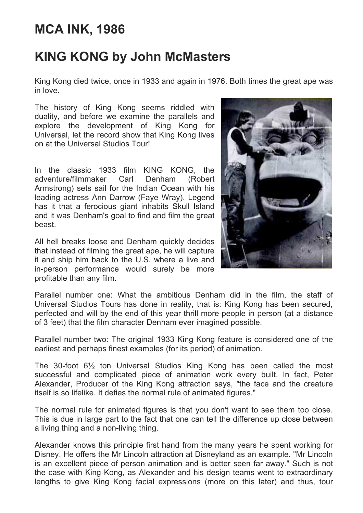## **MCA INK, 1986**

## **KING KONG by John McMasters**

King Kong died twice, once in 1933 and again in 1976. Both times the great ape was in love.

The history of King Kong seems riddled with duality, and before we examine the parallels and explore the development of King Kong for Universal, let the record show that King Kong lives on at the Universal Studios Tour!

In the classic 1933 film KING KONG, the adventure/filmmaker Carl Denham (Robert Armstrong) sets sail for the Indian Ocean with his leading actress Ann Darrow (Faye Wray). Legend has it that a ferocious giant inhabits Skull Island and it was Denham's goal to find and film the great beast.

All hell breaks loose and Denham quickly decides that instead of filming the great ape, he will capture it and ship him back to the U.S. where a live and in-person performance would surely be more profitable than any film.



Parallel number one: What the ambitious Denham did in the film, the staff of Universal Studios Tours has done in reality, that is: King Kong has been secured, perfected and will by the end of this year thrill more people in person (at a distance of 3 feet) that the film character Denham ever imagined possible.

Parallel number two: The original 1933 King Kong feature is considered one of the earliest and perhaps finest examples (for its period) of animation.

The 30-foot 6½ ton Universal Studios King Kong has been called the most successful and complicated piece of animation work every built. In fact, Peter Alexander, Producer of the King Kong attraction says, "the face and the creature itself is so lifelike. It defies the normal rule of animated figures."

The normal rule for animated figures is that you don't want to see them too close. This is due in large part to the fact that one can tell the difference up close between a living thing and a non-living thing.

Alexander knows this principle first hand from the many years he spent working for Disney. He offers the Mr Lincoln attraction at Disneyland as an example. "Mr Lincoln is an excellent piece of person animation and is better seen far away." Such is not the case with King Kong, as Alexander and his design teams went to extraordinary lengths to give King Kong facial expressions (more on this later) and thus, tour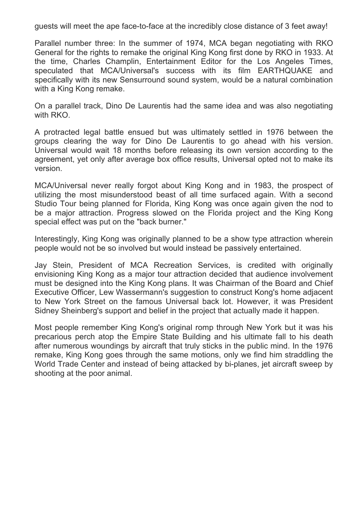guests will meet the ape face-to-face at the incredibly close distance of 3 feet away!

Parallel number three: In the summer of 1974, MCA began negotiating with RKO General for the rights to remake the original King Kong first done by RKO in 1933. At the time, Charles Champlin, Entertainment Editor for the Los Angeles Times, speculated that MCA/Universal's success with its film EARTHQUAKE and specifically with its new Sensurround sound system, would be a natural combination with a King Kong remake.

On a parallel track, Dino De Laurentis had the same idea and was also negotiating with RKO.

A protracted legal battle ensued but was ultimately settled in 1976 between the groups clearing the way for Dino De Laurentis to go ahead with his version. Universal would wait 18 months before releasing its own version according to the agreement, yet only after average box office results, Universal opted not to make its version.

MCA/Universal never really forgot about King Kong and in 1983, the prospect of utilizing the most misunderstood beast of all time surfaced again. With a second Studio Tour being planned for Florida, King Kong was once again given the nod to be a major attraction. Progress slowed on the Florida project and the King Kong special effect was put on the "back burner."

Interestingly, King Kong was originally planned to be a show type attraction wherein people would not be so involved but would instead be passively entertained.

Jay Stein, President of MCA Recreation Services, is credited with originally envisioning King Kong as a major tour attraction decided that audience involvement must be designed into the King Kong plans. It was Chairman of the Board and Chief Executive Officer, Lew Wassermann's suggestion to construct Kong's home adjacent to New York Street on the famous Universal back lot. However, it was President Sidney Sheinberg's support and belief in the project that actually made it happen.

Most people remember King Kong's original romp through New York but it was his precarious perch atop the Empire State Building and his ultimate fall to his death after numerous woundings by aircraft that truly sticks in the public mind. In the 1976 remake, King Kong goes through the same motions, only we find him straddling the World Trade Center and instead of being attacked by bi-planes, jet aircraft sweep by shooting at the poor animal.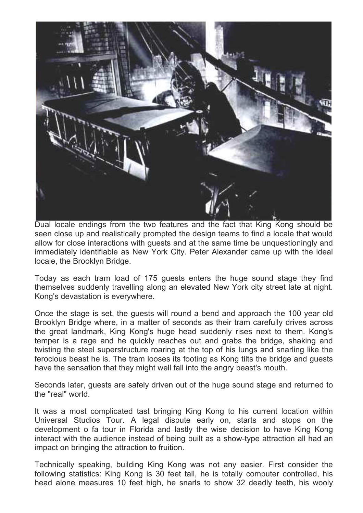

Dual locale endings from the two features and the fact that King Kong should be seen close up and realistically prompted the design teams to find a locale that would allow for close interactions with guests and at the same time be unquestioningly and immediately identifiable as New York City. Peter Alexander came up with the ideal locale, the Brooklyn Bridge.

Today as each tram load of 175 guests enters the huge sound stage they find themselves suddenly travelling along an elevated New York city street late at night. Kong's devastation is everywhere.

Once the stage is set, the guests will round a bend and approach the 100 year old Brooklyn Bridge where, in a matter of seconds as their tram carefully drives across the great landmark, King Kong's huge head suddenly rises next to them. Kong's temper is a rage and he quickly reaches out and grabs the bridge, shaking and twisting the steel superstructure roaring at the top of his lungs and snarling like the ferocious beast he is. The tram looses its footing as Kong tilts the bridge and guests have the sensation that they might well fall into the angry beast's mouth.

Seconds later, guests are safely driven out of the huge sound stage and returned to the "real" world.

It was a most complicated tast bringing King Kong to his current location within Universal Studios Tour. A legal dispute early on, starts and stops on the development o fa tour in Florida and lastly the wise decision to have King Kong interact with the audience instead of being built as a show-type attraction all had an impact on bringing the attraction to fruition.

Technically speaking, building King Kong was not any easier. First consider the following statistics: King Kong is 30 feet tall, he is totally computer controlled, his head alone measures 10 feet high, he snarls to show 32 deadly teeth, his wooly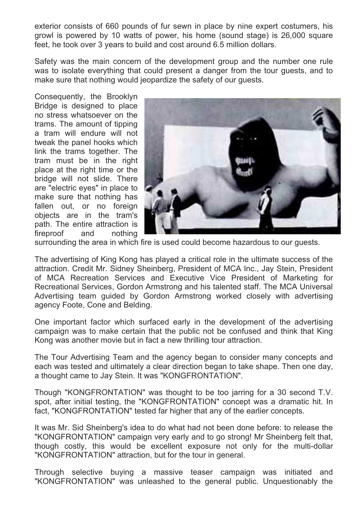exterior consists of 660 pounds of fur sewn in place by nine expert costumers, his growl is powered by 10 watts of power, his home (sound stage) is 26,000 square feet, he took over 3 years to build and cost around 6.5 million dollars.

Safety was the main concern of the development group and the number one rule was to isolate everything that could present a danger from the tour guests, and to make sure that nothing would jeopardize the safety of our guests.

Consequently, the Brooklyn Bridge is designed to place no stress whatsoever on the trams. The amount of tipping a tram will endure will not tweak the panel hooks which link the trams together. The tram must be in the right place at the right time or the bridge will not slide. There are "electric eyes" in place to make sure that nothing has fallen out, or no foreign objects are in the tram's path. The entire attraction is fireproof and nothing



surrounding the area in which fire is used could become hazardous to our guests.

The advertising of King Kong has played a critical role in the ultimate success of the attraction. Credit Mr. Sidney Sheinberg, President of MCA Inc., Jay Stein, President of MCA Recreation Services and Executive Vice President of Marketing for Recreational Services, Gordon Armstrong and his talented staff. The MCA Universal Advertising team guided by Gordon Armstrong worked closely with advertising agency Foote, Cone and Belding.

One important factor which surfaced early in the development of the advertising campaign was to make certain that the public not be confused and think that King Kong was another movie but in fact a new thrilling tour attraction.

The Tour Advertising Team and the agency began to consider many concepts and each was tested and ultimately a clear direction began to take shape. Then one day, a thought came to Jay Stein. It was "KONGFRONTATION".

Though "KONGFRONTATION" was thought to be too jarring for a 30 second T.V. spot, after initial testing, the "KONGFRONTATION" concept was a dramatic hit. In fact, "KONGFRONTATION" tested far higher that any of the earlier concepts.

It was Mr. Sid Sheinberg's idea to do what had not been done before: to release the "KONGFRONTATION" campaign very early and to go strong! Mr Sheinberg felt that, though costly, this would be excellent exposure not only for the multi-dollar "KONGFRONTATION" attraction, but for the tour in general.

Through selective buying a massive teaser campaign was initiated and "KONGFRONTATION" was unleashed to the general public. Unquestionably the